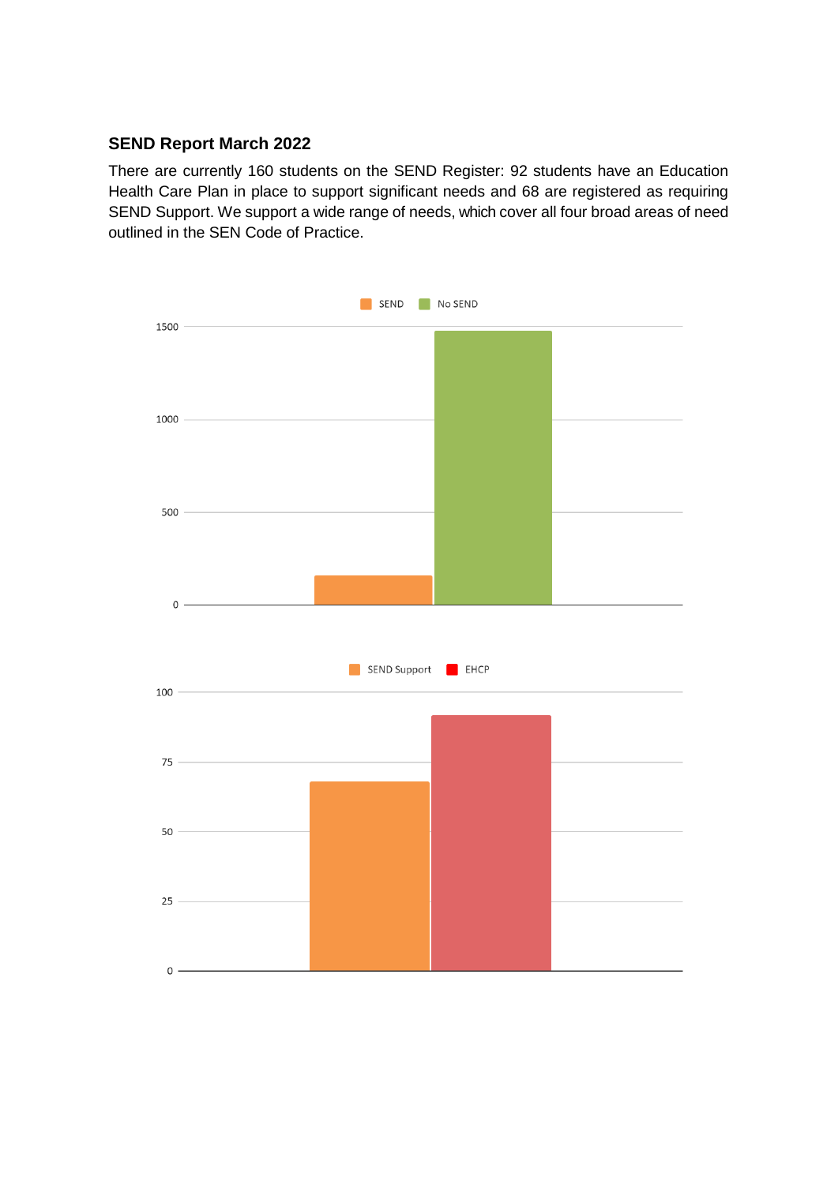# **SEND Report March 2022**

There are currently 160 students on the SEND Register: 92 students have an Education Health Care Plan in place to support significant needs and 68 are registered as requiring SEND Support. We support a wide range of needs, which cover all four broad areas of need outlined in the SEN Code of Practice.

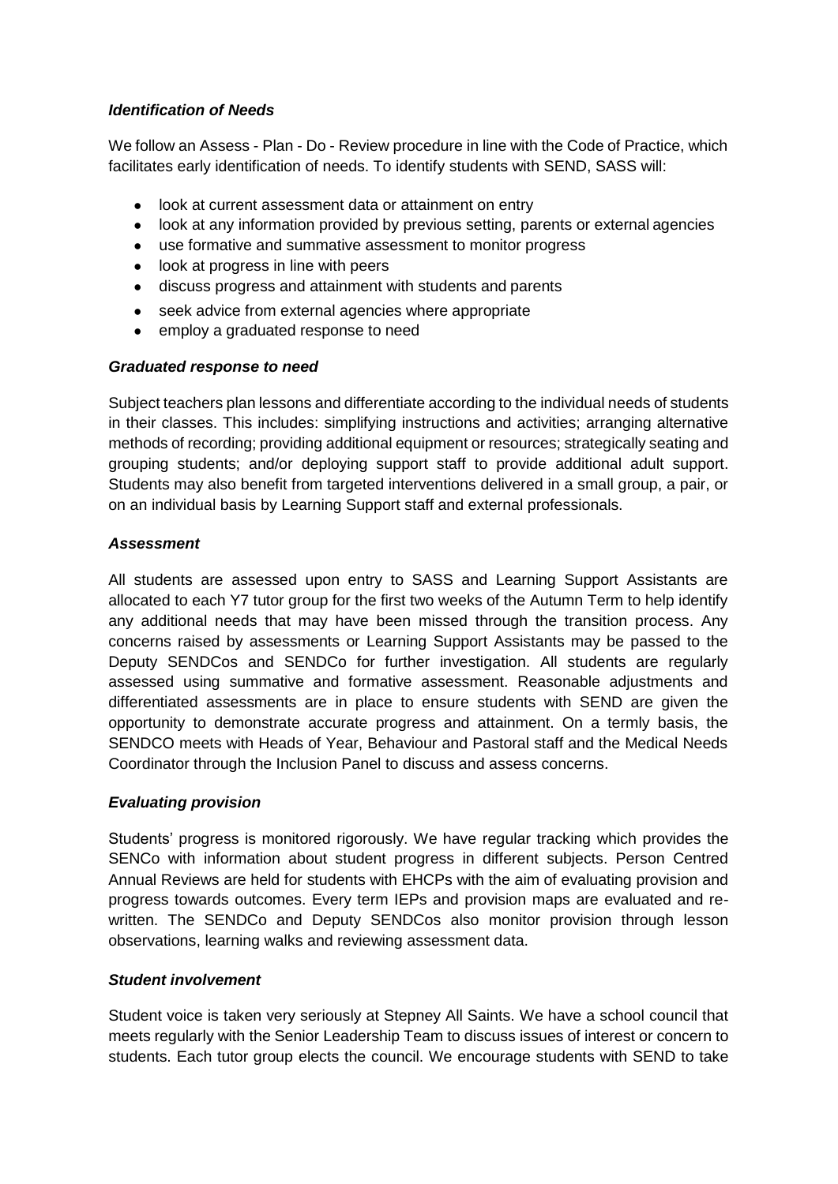## *Identification of Needs*

We follow an Assess - Plan - Do - Review procedure in line with the Code of Practice, which facilitates early identification of needs. To identify students with SEND, SASS will:

- look at current assessment data or attainment on entry
- look at any information provided by previous setting, parents or external agencies
- use formative and summative assessment to monitor progress
- look at progress in line with peers
- discuss progress and attainment with students and parents
- seek advice from external agencies where appropriate
- employ a graduated response to need

#### *Graduated response to need*

Subject teachers plan lessons and differentiate according to the individual needs of students in their classes. This includes: simplifying instructions and activities; arranging alternative methods of recording; providing additional equipment or resources; strategically seating and grouping students; and/or deploying support staff to provide additional adult support. Students may also benefit from targeted interventions delivered in a small group, a pair, or on an individual basis by Learning Support staff and external professionals.

#### *Assessment*

All students are assessed upon entry to SASS and Learning Support Assistants are allocated to each Y7 tutor group for the first two weeks of the Autumn Term to help identify any additional needs that may have been missed through the transition process. Any concerns raised by assessments or Learning Support Assistants may be passed to the Deputy SENDCos and SENDCo for further investigation. All students are regularly assessed using summative and formative assessment. Reasonable adjustments and differentiated assessments are in place to ensure students with SEND are given the opportunity to demonstrate accurate progress and attainment. On a termly basis, the SENDCO meets with Heads of Year, Behaviour and Pastoral staff and the Medical Needs Coordinator through the Inclusion Panel to discuss and assess concerns.

#### *Evaluating provision*

Students' progress is monitored rigorously. We have regular tracking which provides the SENCo with information about student progress in different subjects. Person Centred Annual Reviews are held for students with EHCPs with the aim of evaluating provision and progress towards outcomes. Every term IEPs and provision maps are evaluated and rewritten. The SENDCo and Deputy SENDCos also monitor provision through lesson observations, learning walks and reviewing assessment data.

#### *Student involvement*

Student voice is taken very seriously at Stepney All Saints. We have a school council that meets regularly with the Senior Leadership Team to discuss issues of interest or concern to students. Each tutor group elects the council. We encourage students with SEND to take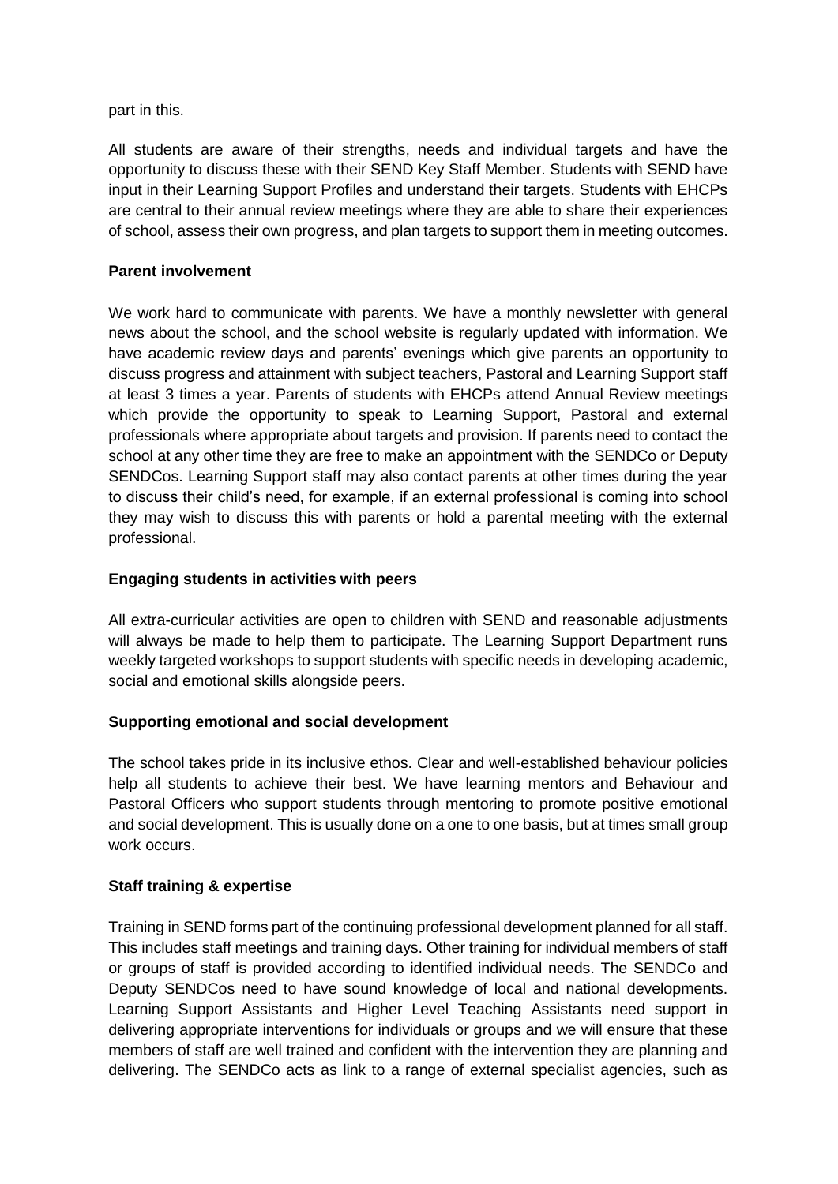part in this.

All students are aware of their strengths, needs and individual targets and have the opportunity to discuss these with their SEND Key Staff Member. Students with SEND have input in their Learning Support Profiles and understand their targets. Students with EHCPs are central to their annual review meetings where they are able to share their experiences of school, assess their own progress, and plan targets to support them in meeting outcomes.

### **Parent involvement**

We work hard to communicate with parents. We have a monthly newsletter with general news about the school, and the school website is regularly updated with information. We have academic review days and parents' evenings which give parents an opportunity to discuss progress and attainment with subject teachers, Pastoral and Learning Support staff at least 3 times a year. Parents of students with EHCPs attend Annual Review meetings which provide the opportunity to speak to Learning Support, Pastoral and external professionals where appropriate about targets and provision. If parents need to contact the school at any other time they are free to make an appointment with the SENDCo or Deputy SENDCos. Learning Support staff may also contact parents at other times during the year to discuss their child's need, for example, if an external professional is coming into school they may wish to discuss this with parents or hold a parental meeting with the external professional.

## **Engaging students in activities with peers**

All extra-curricular activities are open to children with SEND and reasonable adjustments will always be made to help them to participate. The Learning Support Department runs weekly targeted workshops to support students with specific needs in developing academic, social and emotional skills alongside peers.

#### **Supporting emotional and social development**

The school takes pride in its inclusive ethos. Clear and well-established behaviour policies help all students to achieve their best. We have learning mentors and Behaviour and Pastoral Officers who support students through mentoring to promote positive emotional and social development. This is usually done on a one to one basis, but at times small group work occurs.

#### **Staff training & expertise**

Training in SEND forms part of the continuing professional development planned for all staff. This includes staff meetings and training days. Other training for individual members of staff or groups of staff is provided according to identified individual needs. The SENDCo and Deputy SENDCos need to have sound knowledge of local and national developments. Learning Support Assistants and Higher Level Teaching Assistants need support in delivering appropriate interventions for individuals or groups and we will ensure that these members of staff are well trained and confident with the intervention they are planning and delivering. The SENDCo acts as link to a range of external specialist agencies, such as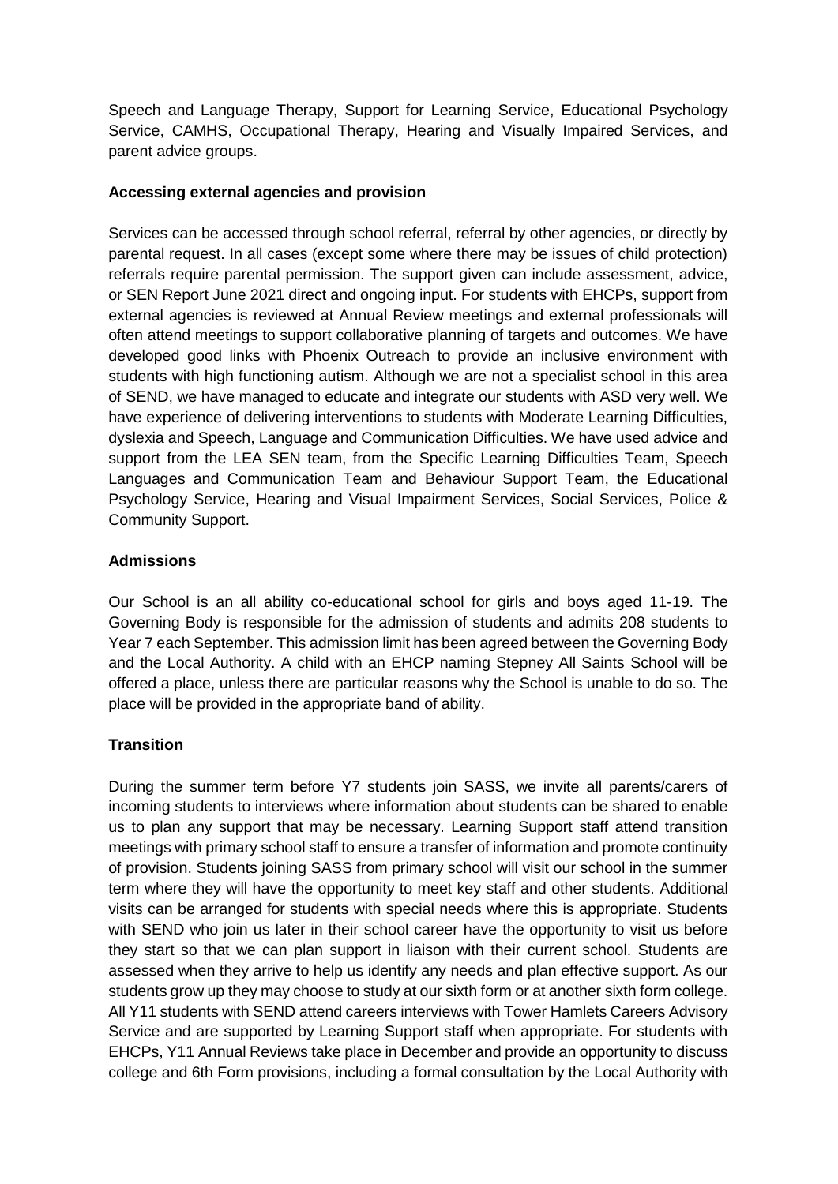Speech and Language Therapy, Support for Learning Service, Educational Psychology Service, CAMHS, Occupational Therapy, Hearing and Visually Impaired Services, and parent advice groups.

## **Accessing external agencies and provision**

Services can be accessed through school referral, referral by other agencies, or directly by parental request. In all cases (except some where there may be issues of child protection) referrals require parental permission. The support given can include assessment, advice, or SEN Report June 2021 direct and ongoing input. For students with EHCPs, support from external agencies is reviewed at Annual Review meetings and external professionals will often attend meetings to support collaborative planning of targets and outcomes. We have developed good links with Phoenix Outreach to provide an inclusive environment with students with high functioning autism. Although we are not a specialist school in this area of SEND, we have managed to educate and integrate our students with ASD very well. We have experience of delivering interventions to students with Moderate Learning Difficulties, dyslexia and Speech, Language and Communication Difficulties. We have used advice and support from the LEA SEN team, from the Specific Learning Difficulties Team, Speech Languages and Communication Team and Behaviour Support Team, the Educational Psychology Service, Hearing and Visual Impairment Services, Social Services, Police & Community Support.

## **Admissions**

Our School is an all ability co-educational school for girls and boys aged 11-19. The Governing Body is responsible for the admission of students and admits 208 students to Year 7 each September. This admission limit has been agreed between the Governing Body and the Local Authority. A child with an EHCP naming Stepney All Saints School will be offered a place, unless there are particular reasons why the School is unable to do so. The place will be provided in the appropriate band of ability.

# **Transition**

During the summer term before Y7 students join SASS, we invite all parents/carers of incoming students to interviews where information about students can be shared to enable us to plan any support that may be necessary. Learning Support staff attend transition meetings with primary school staff to ensure a transfer of information and promote continuity of provision. Students joining SASS from primary school will visit our school in the summer term where they will have the opportunity to meet key staff and other students. Additional visits can be arranged for students with special needs where this is appropriate. Students with SEND who join us later in their school career have the opportunity to visit us before they start so that we can plan support in liaison with their current school. Students are assessed when they arrive to help us identify any needs and plan effective support. As our students grow up they may choose to study at our sixth form or at another sixth form college. All Y11 students with SEND attend careers interviews with Tower Hamlets Careers Advisory Service and are supported by Learning Support staff when appropriate. For students with EHCPs, Y11 Annual Reviews take place in December and provide an opportunity to discuss college and 6th Form provisions, including a formal consultation by the Local Authority with